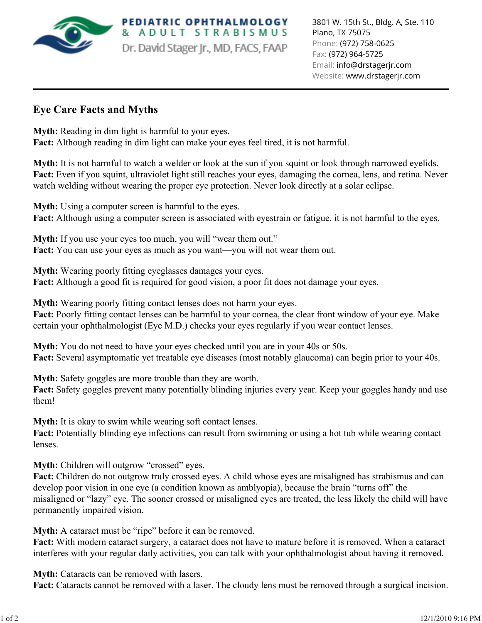

**PEDIATRIC OPHTHALMOLOGY** ADULT STRABISMUS Dr. David Stager Jr., MD, FACS, FAAP

## **Eye Care Facts and Myths**

**Myth:** Reading in dim light is harmful to your eyes. **Fact:** Although reading in dim light can make your eyes feel tired, it is not harmful.

**Myth:** It is not harmful to watch a welder or look at the sun if you squint or look through narrowed eyelids. Fact: Even if you squint, ultraviolet light still reaches your eyes, damaging the cornea, lens, and retina. Never watch welding without wearing the proper eye protection. Never look directly at a solar eclipse.

**Myth:** Using a computer screen is harmful to the eyes. Fact: Although using a computer screen is associated with eyestrain or fatigue, it is not harmful to the eyes.

**Myth:** If you use your eyes too much, you will "wear them out." **Fact:** You can use your eyes as much as you want—you will not wear them out.

**Myth:** Wearing poorly fitting eyeglasses damages your eyes. Fact: Although a good fit is required for good vision, a poor fit does not damage your eyes.

**Myth:** Wearing poorly fitting contact lenses does not harm your eyes. **Fact:** Poorly fitting contact lenses can be harmful to your cornea, the clear front window of your eye. Make certain your ophthalmologist (Eye M.D.) checks your eyes regularly if you wear contact lenses.

**Myth:** You do not need to have your eyes checked until you are in your 40s or 50s. **Fact:** Several asymptomatic yet treatable eye diseases (most notably glaucoma) can begin prior to your 40s.

**Myth:** Safety goggles are more trouble than they are worth. **Fact:** Safety goggles prevent many potentially blinding injuries every year. Keep your goggles handy and use them!

**Myth:** It is okay to swim while wearing soft contact lenses.

**Fact:** Potentially blinding eye infections can result from swimming or using a hot tub while wearing contact lenses.

**Myth:** Children will outgrow "crossed" eyes.

Fact: Children do not outgrow truly crossed eyes. A child whose eyes are misaligned has strabismus and can develop poor vision in one eye (a condition known as amblyopia), because the brain "turns off" the misaligned or "lazy" eye. The sooner crossed or misaligned eyes are treated, the less likely the child will have permanently impaired vision.

**Myth:** A cataract must be "ripe" before it can be removed.

**Fact:** With modern cataract surgery, a cataract does not have to mature before it is removed. When a cataract interferes with your regular daily activities, you can talk with your ophthalmologist about having it removed.

**Myth:** Cataracts can be removed with lasers.

**Fact:** Cataracts cannot be removed with a laser. The cloudy lens must be removed through a surgical incision.